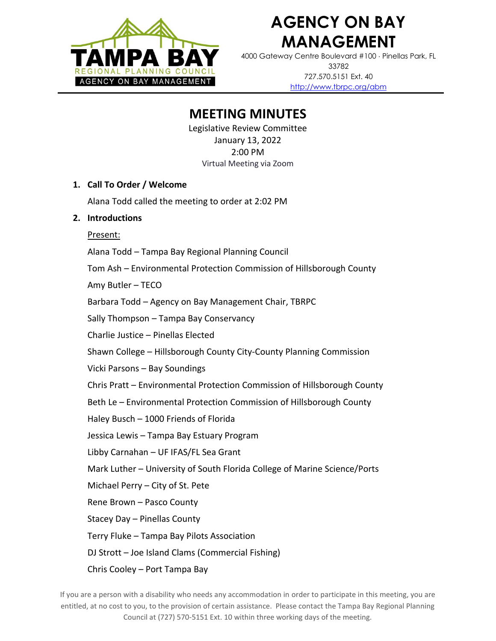

# **AGENCY ON BAY MANAGEMENT**

4000 Gateway Centre Boulevard #100 Pinellas Park, FL 33782 727.570.5151 Ext. 40 <http://www.tbrpc.org/abm>

## **MEETING MINUTES**

Legislative Review Committee January 13, 2022 2:00 PM Virtual Meeting via Zoom

#### **1. Call To Order / Welcome**

Alana Todd called the meeting to order at 2:02 PM

### **2. Introductions**

Present:

Alana Todd – Tampa Bay Regional Planning Council

Tom Ash – Environmental Protection Commission of Hillsborough County

Amy Butler – TECO

Barbara Todd – Agency on Bay Management Chair, TBRPC

Sally Thompson – Tampa Bay Conservancy

Charlie Justice – Pinellas Elected

Shawn College – Hillsborough County City-County Planning Commission

Vicki Parsons – Bay Soundings

Chris Pratt – Environmental Protection Commission of Hillsborough County

Beth Le – Environmental Protection Commission of Hillsborough County

Haley Busch – 1000 Friends of Florida

Jessica Lewis – Tampa Bay Estuary Program

Libby Carnahan – UF IFAS/FL Sea Grant

Mark Luther – University of South Florida College of Marine Science/Ports

Michael Perry – City of St. Pete

Rene Brown – Pasco County

Stacey Day – Pinellas County

Terry Fluke – Tampa Bay Pilots Association

DJ Strott – Joe Island Clams (Commercial Fishing)

Chris Cooley – Port Tampa Bay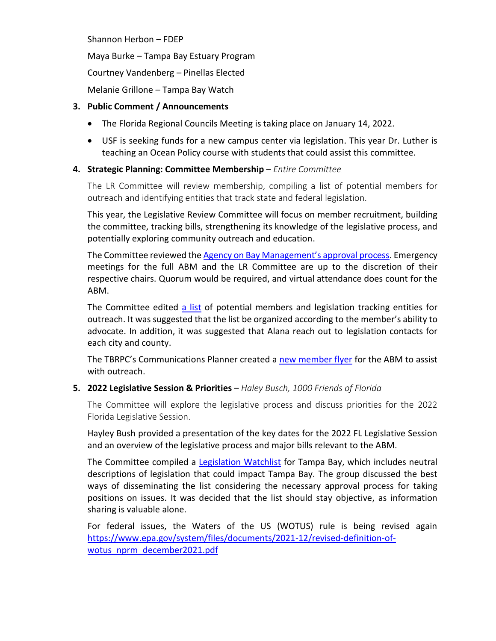Shannon Herbon – FDEP

Maya Burke – Tampa Bay Estuary Program

Courtney Vandenberg – Pinellas Elected

Melanie Grillone – Tampa Bay Watch

### **3. Public Comment / Announcements**

- The Florida Regional Councils Meeting is taking place on January 14, 2022.
- USF is seeking funds for a new campus center via legislation. This year Dr. Luther is teaching an Ocean Policy course with students that could assist this committee.

### **4. Strategic Planning: Committee Membership** – *Entire Committee*

The LR Committee will review membership, compiling a list of potential members for outreach and identifying entities that track state and federal legislation.

This year, the Legislative Review Committee will focus on member recruitment, building the committee, tracking bills, strengthening its knowledge of the legislative process, and potentially exploring community outreach and education.

The Committee reviewed the [Agency on Bay Management](http://www.tbrpc.org/wp-content/uploads/2022/01/ABM-Process-Map.pdf)'s approval process. Emergency meetings for the full ABM and the LR Committee are up to the discretion of their respective chairs. Quorum would be required, and virtual attendance does count for the ABM.

The Committee edited [a list](https://docs.google.com/spreadsheets/d/1yXxd3Fo4IGnqM2Uybpq6zAswrLBrO7xPxsJeCo4PYm0/edit?usp=sharing) of potential members and legislation tracking entities for outreach. It was suggested that the list be organized according to the member's ability to advocate. In addition, it was suggested that Alana reach out to legislation contacts for each city and county.

The TBRPC's Communications Planner created a [new member flyer](http://www.tbrpc.org/wp-content/uploads/2022/01/ABM-flyer_2022.pdf) for the ABM to assist with outreach.

### **5. 2022 Legislative Session & Priorities** – *Haley Busch, 1000 Friends of Florida*

The Committee will explore the legislative process and discuss priorities for the 2022 Florida Legislative Session.

Hayley Bush provided a presentation of the key dates for the 2022 FL Legislative Session and an overview of the legislative process and major bills relevant to the ABM.

The Committee compiled a [Legislation Watchlist](http://www.tbrpc.org/wp-content/uploads/2022/01/2022-Legislation-Watchlist.pdf) for Tampa Bay, which includes neutral descriptions of legislation that could impact Tampa Bay. The group discussed the best ways of disseminating the list considering the necessary approval process for taking positions on issues. It was decided that the list should stay objective, as information sharing is valuable alone.

For federal issues, the Waters of the US (WOTUS) rule is being revised again [https://www.epa.gov/system/files/documents/2021-12/revised-definition-of](https://www.epa.gov/system/files/documents/2021-12/revised-definition-of-wotus_nprm_december2021.pdf)[wotus\\_nprm\\_december2021.pdf](https://www.epa.gov/system/files/documents/2021-12/revised-definition-of-wotus_nprm_december2021.pdf)